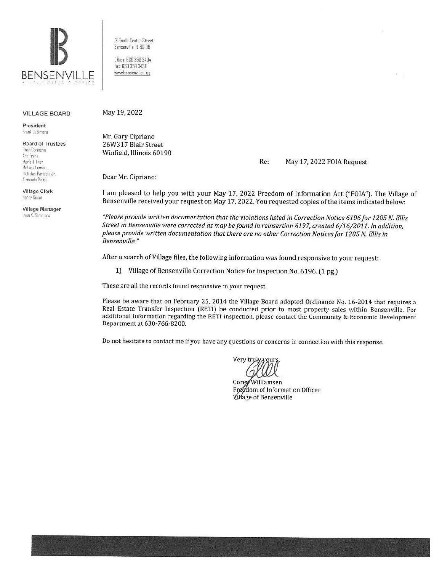

VILLAGE BOARD May 19, 2022

President Frank BeSimone

Board of Trustees Rosa Carmona Ann Franz Marie T Frey Mclane Lama, Nichalas Panicola Jr. Armando Perez

Village Clerk llan:y Uuinn

Village Manager Evan K. Summers

12 South Center Street Bensenville, IL 60106 Oifice. 630.350.3404 fas· 630.350.3~38 www.bensenville.il.us

Mr. Gary Cipriano 26W317 Blair Street Winfield, Illinois 60190

Re: May 17, 2022 FOIA Request

Dear Mr. Cipriano:

I am pleased to help you with your May 17, 2022 Freedom of Information Act ("FOIA"). The Village of Bensenville received your request on May 17, 2022. You requested copies of the items indicated below:

*"Please provide written documentation that the violations listed in Correction Notice 6196 for 1285* N. *Ellis Street in Bensenville were corrected as may be found in reinsertion 6197, created 6/16/2011. In addition, please provide written documentation that there are no other Correction Notices for 1285* N. *Ellis in Bensenville."* 

After a search of Village files, the following information was found responsive to your request:

1) Village of Bensenville Correction Notice for Inspection No. 6196. (1 pg.)

These are all the records found responsive to your request.

Please be aware that on February 25, 2014 the Village Board adopted Ordinance No. 16-2014 that requires a Real Estate Transfer Inspection (RETI) be conducted prior to most property sales within Bensenville. For additional information regarding the RETI inspection, please contact the Community & Economic Development Department at 630-766-8200.

Do not hesitate to contact me if you have any questions or concerns in connection with this response.

Very truk

Williamsen Corey Freedom of Information Officer **Village of Bensenville**